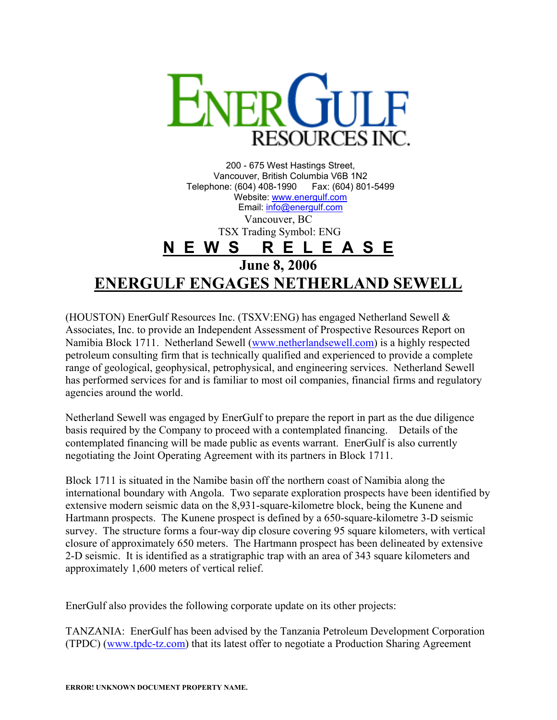

200 - 675 West Hastings Street, Vancouver, British Columbia V6B 1N2 Telephone: (604) 408-1990 Fax: (604) 801-5499 Website: [www.energulf.com](http://www.energulf.com/) Email: [info@energulf.com](mailto:info@energulf.com) Vancouver, BC TSX Trading Symbol: ENG **N E W S R E L E A S E June 8, 2006 ENERGULF ENGAGES NETHERLAND SEWELL**

(HOUSTON) EnerGulf Resources Inc. (TSXV:ENG) has engaged Netherland Sewell & Associates, Inc. to provide an Independent Assessment of Prospective Resources Report on Namibia Block 1711. Netherland Sewell [\(www.netherlandsewell.com](http://www.netherlandsewell.com/)) is a highly respected petroleum consulting firm that is technically qualified and experienced to provide a complete range of geological, geophysical, petrophysical, and engineering services. Netherland Sewell has performed services for and is familiar to most oil companies, financial firms and regulatory agencies around the world.

Netherland Sewell was engaged by EnerGulf to prepare the report in part as the due diligence basis required by the Company to proceed with a contemplated financing. Details of the contemplated financing will be made public as events warrant. EnerGulf is also currently negotiating the Joint Operating Agreement with its partners in Block 1711.

Block 1711 is situated in the Namibe basin off the northern coast of Namibia along the international boundary with Angola. Two separate exploration prospects have been identified by extensive modern seismic data on the 8,931-square-kilometre block, being the Kunene and Hartmann prospects. The Kunene prospect is defined by a 650-square-kilometre 3-D seismic survey. The structure forms a four-way dip closure covering 95 square kilometers, with vertical closure of approximately 650 meters. The Hartmann prospect has been delineated by extensive 2-D seismic. It is identified as a stratigraphic trap with an area of 343 square kilometers and approximately 1,600 meters of vertical relief.

EnerGulf also provides the following corporate update on its other projects:

TANZANIA: EnerGulf has been advised by the Tanzania Petroleum Development Corporation (TPDC) ([www.tpdc-tz.com\)](http://www.tpdc.tz.com/) that its latest offer to negotiate a Production Sharing Agreement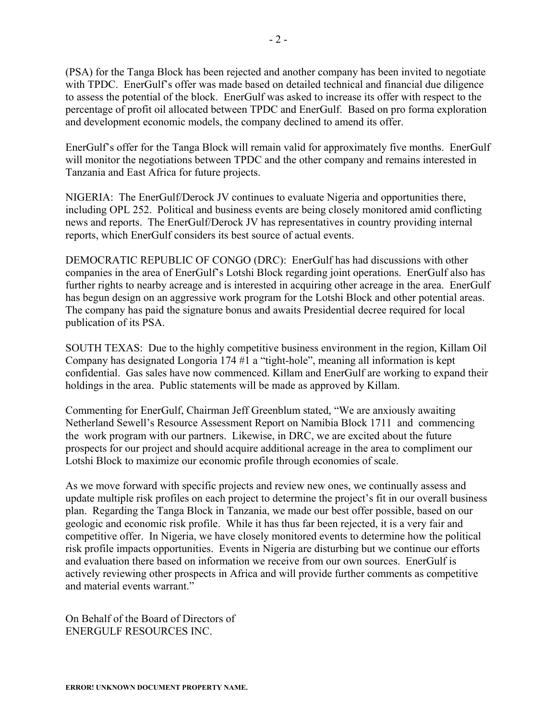(PSA) for the Tanga Block has been rejected and another company has been invited to negotiate with TPDC. EnerGulf's offer was made based on detailed technical and financial due diligence to assess the potential of the block. EnerGulf was asked to increase its offer with respect to the percentage of profit oil allocated between TPDC and EnerGulf. Based on pro forma exploration and development economic models, the company declined to amend its offer.

EnerGulf's offer for the Tanga Block will remain valid for approximately five months. EnerGulf will monitor the negotiations between TPDC and the other company and remains interested in Tanzania and East Africa for future projects.

NIGERIA: The EnerGulf/Derock JV continues to evaluate Nigeria and opportunities there, including OPL 252. Political and business events are being closely monitored amid conflicting news and reports. The EnerGulf/Derock JV has representatives in country providing internal reports, which EnerGulf considers its best source of actual events.

DEMOCRATIC REPUBLIC OF CONGO (DRC): EnerGulf has had discussions with other companies in the area of EnerGulf's Lotshi Block regarding joint operations. EnerGulf also has further rights to nearby acreage and is interested in acquiring other acreage in the area. EnerGulf has begun design on an aggressive work program for the Lotshi Block and other potential areas. The company has paid the signature bonus and awaits Presidential decree required for local publication of its PSA.

SOUTH TEXAS: Due to the highly competitive business environment in the region, Killam Oil Company has designated Longoria 174 #1 a "tight-hole", meaning all information is kept confidential. Gas sales have now commenced. Killam and EnerGulf are working to expand their holdings in the area. Public statements will be made as approved by Killam.

Commenting for EnerGulf, Chairman Jeff Greenblum stated, "We are anxiously awaiting Netherland Sewell's Resource Assessment Report on Namibia Block 1711 and commencing the work program with our partners. Likewise, in DRC, we are excited about the future prospects for our project and should acquire additional acreage in the area to compliment our Lotshi Block to maximize our economic profile through economies of scale.

As we move forward with specific projects and review new ones, we continually assess and update multiple risk profiles on each project to determine the project's fit in our overall business plan. Regarding the Tanga Block in Tanzania, we made our best offer possible, based on our geologic and economic risk profile. While it has thus far been rejected, it is a very fair and competitive offer. In Nigeria, we have closely monitored events to determine how the political risk profile impacts opportunities. Events in Nigeria are disturbing but we continue our efforts and evaluation there based on information we receive from our own sources. EnerGulf is actively reviewing other prospects in Africa and will provide further comments as competitive and material events warrant."

On Behalf of the Board of Directors of ENERGULF RESOURCES INC.